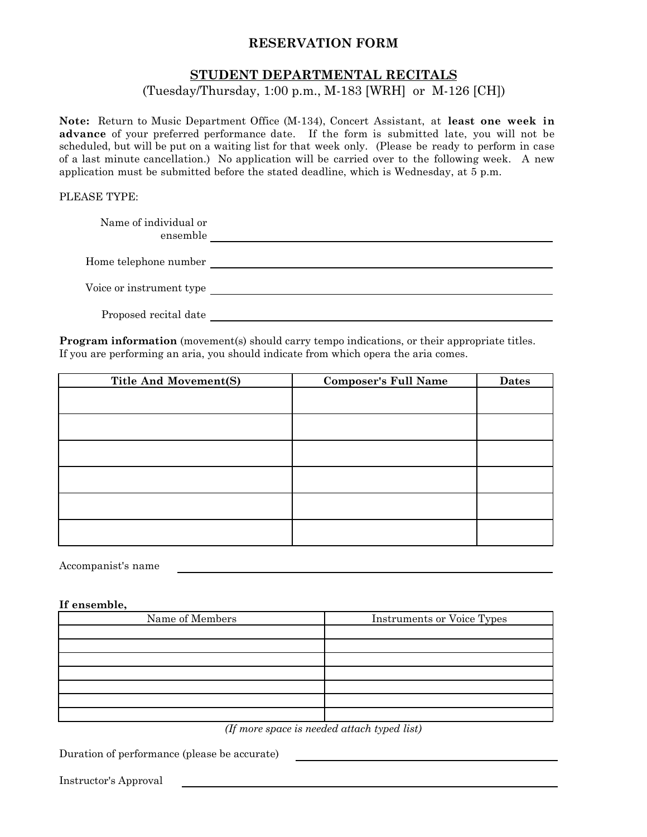## **RESERVATION FORM**

## **STUDENT DEPARTMENTAL RECITALS**

### (Tuesday/Thursday, 1:00 p.m., M-183 [WRH] or M-126 [CH])

**Note:** Return to Music Department Office (M-134), Concert Assistant, at **least one week in advance** of your preferred performance date. If the form is submitted late, you will not be scheduled, but will be put on a waiting list for that week only. (Please be ready to perform in case of a last minute cancellation.) No application will be carried over to the following week. A new application must be submitted before the stated deadline, which is Wednesday, at 5 p.m.

#### PLEASE TYPE:

Name of individual or ensemble

Home telephone number

Voice or instrument type

Proposed recital date

**Program information** (movement(s) should carry tempo indications, or their appropriate titles. If you are performing an aria, you should indicate from which opera the aria comes.

| <b>Title And Movement(S)</b> | <b>Composer's Full Name</b> | <b>Dates</b> |
|------------------------------|-----------------------------|--------------|
|                              |                             |              |
|                              |                             |              |
|                              |                             |              |
|                              |                             |              |
|                              |                             |              |
|                              |                             |              |

Accompanist's name

#### **If ensemble,**

| Name of Members | <b>Instruments or Voice Types</b> |
|-----------------|-----------------------------------|
|                 |                                   |
|                 |                                   |
|                 |                                   |
|                 |                                   |
|                 |                                   |
|                 |                                   |
|                 |                                   |

*(If more space is needed attach typed list)*

Duration of performance (please be accurate)

Instructor's Approval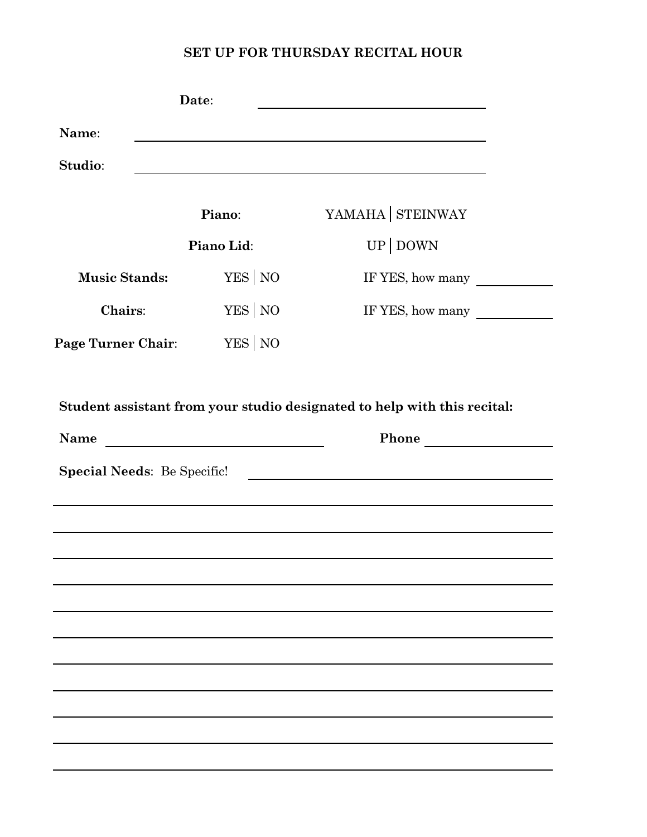# **SET UP FOR THURSDAY RECITAL HOUR**

|                                            | Date:                                                         |                                                                                                                  |
|--------------------------------------------|---------------------------------------------------------------|------------------------------------------------------------------------------------------------------------------|
| Name:                                      |                                                               | and the control of the control of the control of the control of the control of the control of the control of the |
| Studio:                                    |                                                               |                                                                                                                  |
|                                            | Piano:                                                        | YAMAHA STEINWAY                                                                                                  |
|                                            | Piano Lid:                                                    | UP DOWN                                                                                                          |
| <b>Music Stands:</b>                       | YES NO                                                        | IF YES, how many                                                                                                 |
| <b>Chairs:</b>                             | YES NO                                                        | IF YES, how many                                                                                                 |
| <b>Page Turner Chair:</b>                  | YES NO                                                        |                                                                                                                  |
|                                            |                                                               | Student assistant from your studio designated to help with this recital:                                         |
| Name<br><b>Special Needs: Be Specific!</b> | <u> 1989 - Johann Barn, fransk politik fotograf (d. 1989)</u> | Phone                                                                                                            |
|                                            |                                                               |                                                                                                                  |
|                                            |                                                               |                                                                                                                  |
|                                            |                                                               |                                                                                                                  |
|                                            |                                                               |                                                                                                                  |
|                                            |                                                               |                                                                                                                  |